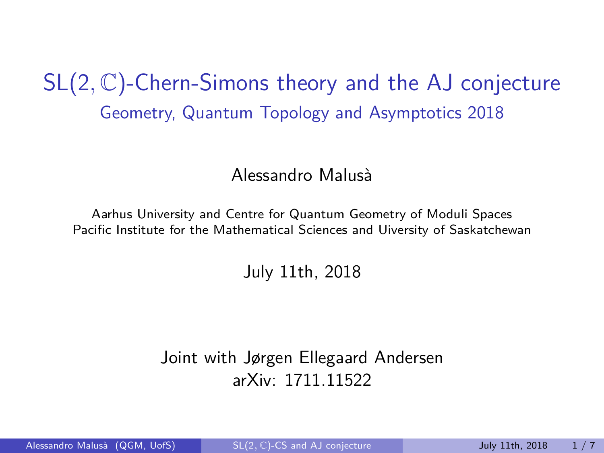SL(2*,* C)-Chern-Simons theory and the AJ conjecture Geometry, Quantum Topology and Asymptotics 2018

#### Alessandro Malusà

Aarhus University and Centre for Quantum Geometry of Moduli Spaces Pacific Institute for the Mathematical Sciences and Uiversity of Saskatchewan

July 11th, 2018

Joint with Jørgen Ellegaard Andersen arXiv: 1711.11522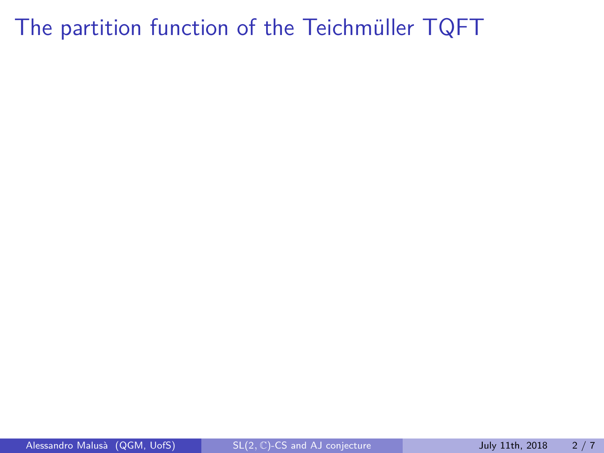### The partition function of the Teichmüller TQFT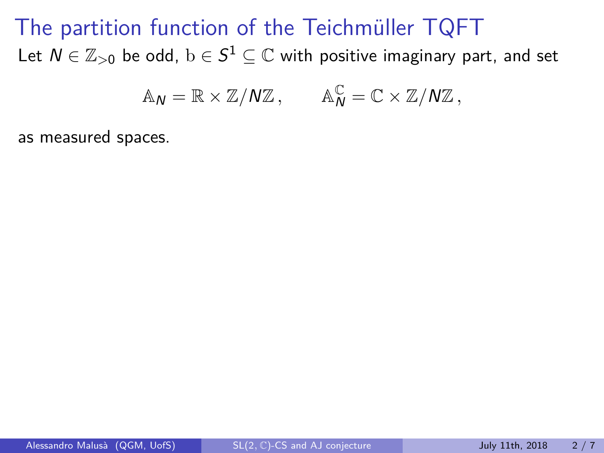### The partition function of the Teichmüller TQFT Let  $N\in\mathbb{Z}_{>0}$  be odd,  $\mathrm{b}\in S^1\subseteq\mathbb{C}$  with positive imaginary part, and set

$$
\mathbb{A}_N = \mathbb{R} \times \mathbb{Z}/N\mathbb{Z} \,, \qquad \mathbb{A}_N^{\mathbb{C}} = \mathbb{C} \times \mathbb{Z}/N\mathbb{Z} \,,
$$

as measured spaces.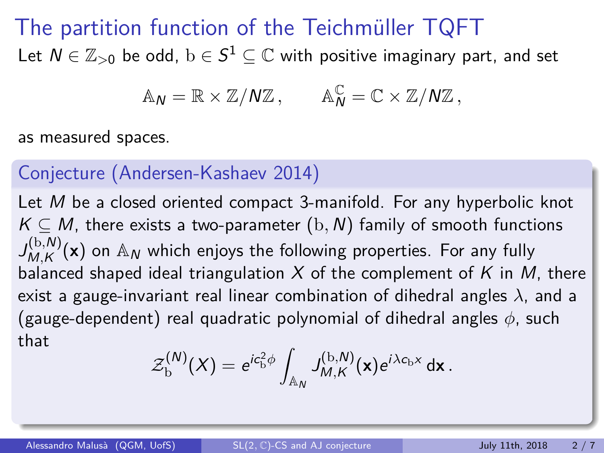### The partition function of the Teichmüller TQFT Let  $N\in\mathbb{Z}_{>0}$  be odd,  $\mathrm{b}\in S^1\subseteq\mathbb{C}$  with positive imaginary part, and set

 $\mathbb{A}_N = \mathbb{R} \times \mathbb{Z}/N\mathbb{Z}$ ,  $\mathbb{A}_N^{\mathbb{C}} = \mathbb{C} \times \mathbb{Z}/N\mathbb{Z}$ ,

as measured spaces.

#### Conjecture (Andersen-Kashaev 2014)

Let M be a closed oriented compact 3-manifold. For any hyperbolic knot  $K \subseteq M$ , there exists a two-parameter  $(b, N)$  family of smooth functions  $J_{MAK}^{(b,N)}$  $M_{M,K}^{(b,N)}(\mathbf{x})$  on  $\mathbb{A}_N$  which enjoys the following properties. For any fully balanced shaped ideal triangulation X of the complement of K in M, there exist a gauge-invariant real linear combination of dihedral angles *λ*, and a (gauge-dependent) real quadratic polynomial of dihedral angles *φ*, such that

$$
\mathcal{Z}_{\mathrm{b}}^{(N)}(X) = e^{ic_{\mathrm{b}}^2 \phi} \int_{\mathbb{A}_N} J_{M,K}^{(\mathrm{b},N)}(\mathbf{x}) e^{i\lambda c_{\mathrm{b}}x} d\mathbf{x}.
$$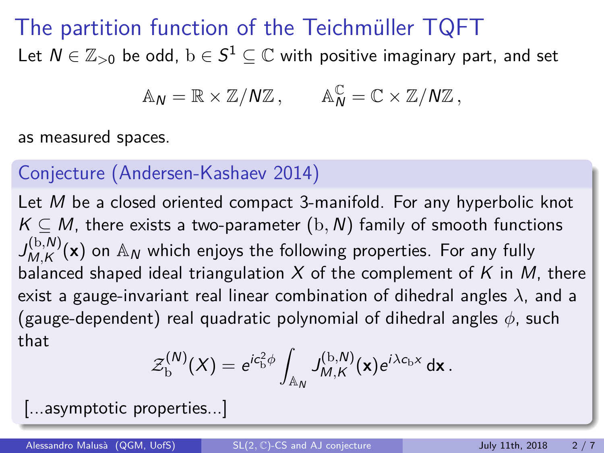### The partition function of the Teichmüller TQFT Let  $N\in\mathbb{Z}_{>0}$  be odd,  $\mathrm{b}\in S^1\subseteq\mathbb{C}$  with positive imaginary part, and set

$$
\mathbb{A}_N = \mathbb{R} \times \mathbb{Z}/N\mathbb{Z} \,, \qquad \mathbb{A}_N^{\mathbb{C}} = \mathbb{C} \times \mathbb{Z}/N\mathbb{Z} \,,
$$

as measured spaces.

#### Conjecture (Andersen-Kashaev 2014)

Let M be a closed oriented compact 3-manifold. For any hyperbolic knot  $K \subseteq M$ , there exists a two-parameter  $(b, N)$  family of smooth functions  $J_{MAK}^{(b,N)}$  $M_{M,K}^{(b,N)}(\mathbf{x})$  on  $\mathbb{A}_N$  which enjoys the following properties. For any fully balanced shaped ideal triangulation X of the complement of K in M, there exist a gauge-invariant real linear combination of dihedral angles *λ*, and a (gauge-dependent) real quadratic polynomial of dihedral angles *φ*, such that

$$
\mathcal{Z}_{\mathrm{b}}^{(N)}(X) = e^{ic_{\mathrm{b}}^2 \phi} \int_{\mathbb{A}_N} J_{M,K}^{(\mathrm{b},N)}(\mathbf{x}) e^{i\lambda c_{\mathrm{b}}x} d\mathbf{x}.
$$

[...asymptotic properties...]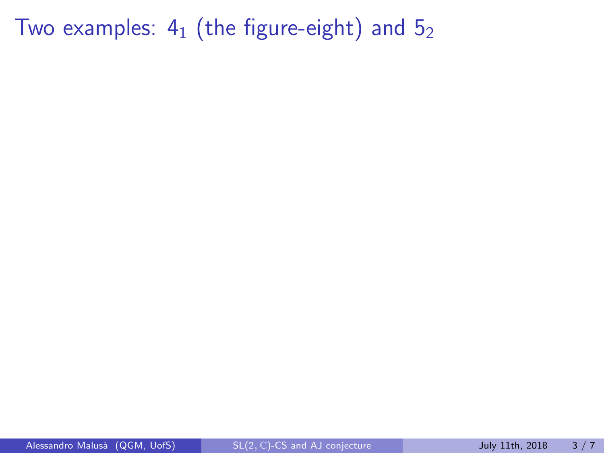Two examples:  $4_1$  (the figure-eight) and  $5_2$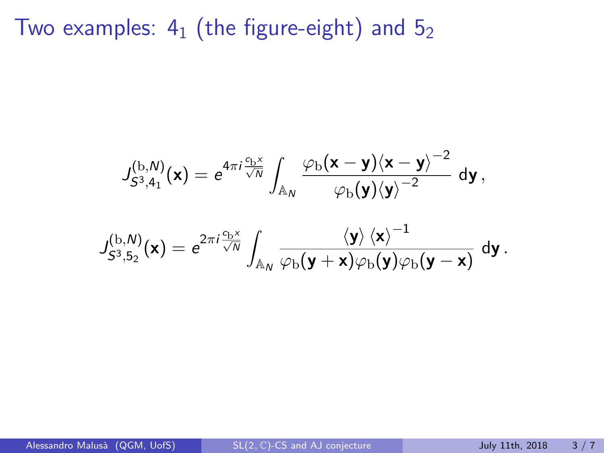Two examples:  $4_1$  (the figure-eight) and  $5_2$ 

$$
\begin{aligned} J_{S^3,4_1}^{(\mathrm{b},\mathrm{N})}(\mathbf{x})&=e^{4\pi i \frac{c_\mathrm{b} x}{\sqrt{N}}}\int_{\mathbb{A}_\mathrm{N}}\frac{\varphi_\mathrm{b}(\mathbf{x}-\mathbf{y})\langle \mathbf{x}-\mathbf{y}\rangle^{-2}}{\varphi_\mathrm{b}(\mathbf{y})\langle \mathbf{y}\rangle^{-2}}\,\mathsf{d}\mathbf{y}\,,\\ J_{S^3,5_2}^{(\mathrm{b},\mathrm{N})}(\mathbf{x})&=e^{2\pi i \frac{c_\mathrm{b} x}{\sqrt{N}}}\int_{\mathbb{A}_\mathrm{N}}\frac{\langle \mathbf{y}\rangle\,\langle \mathbf{x}\rangle^{-1}}{\varphi_\mathrm{b}(\mathbf{y}+\mathbf{x})\varphi_\mathrm{b}(\mathbf{y})\varphi_\mathrm{b}(\mathbf{y}-\mathbf{x})}\,\mathsf{d}\mathbf{y}\,. \end{aligned}
$$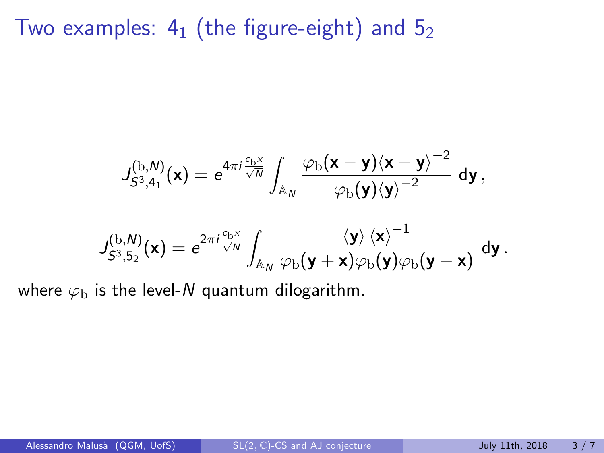Two examples:  $4_1$  (the figure-eight) and  $5_2$ 

$$
J_{S^3,4_1}^{(\mathrm{b},\mathrm{N})}(\mathbf{x}) = e^{4\pi i \frac{c_\mathrm{b}x}{\sqrt{\mathrm{N}}}} \int_{\mathbb{A}_\mathrm{N}} \frac{\varphi_\mathrm{b}(\mathbf{x}-\mathbf{y}) \langle \mathbf{x}-\mathbf{y} \rangle^{-2}}{\varphi_\mathrm{b}(\mathbf{y}) \langle \mathbf{y} \rangle^{-2}} \; \mathrm{d}\mathbf{y} \, ,
$$

$$
J_{S^3,5_2}^{(\mathrm{b},\mathrm{N})}(\mathbf{x}) = e^{2\pi i \frac{c_\mathrm{b}x}{\sqrt{\mathrm{N}}}} \int_{\mathbb{A}_\mathrm{N}} \frac{\langle \mathbf{y} \rangle \langle \mathbf{x} \rangle^{-1}}{\varphi_\mathrm{b}(\mathbf{y}+\mathbf{x}) \varphi_\mathrm{b}(\mathbf{y}) \varphi_\mathrm{b}(\mathbf{y}-\mathbf{x})} \; \mathrm{d}\mathbf{y} \, .
$$

where  $\varphi_{\rm b}$  is the level-N quantum dilogarithm.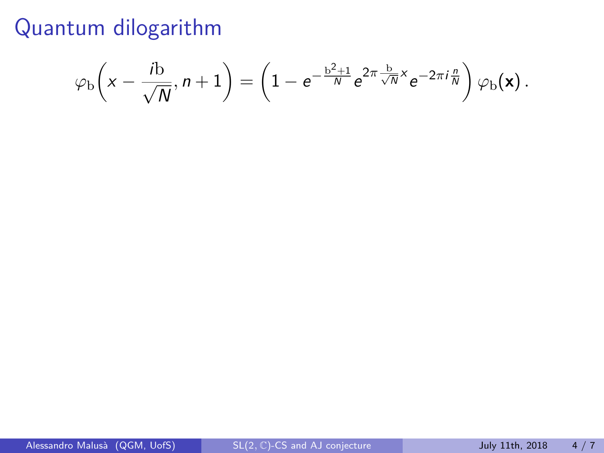$$
\varphi_{\rm b}\!\left(x - \frac{i{\rm b}}{\sqrt{N}}, n+1\right) = \left(1 - e^{-\frac{{\rm b}^2+1}{N}} e^{2\pi \frac{{\rm b}}{\sqrt{N}}x} e^{-2\pi i \frac{n}{N}}\right) \varphi_{\rm b}({\bf x})\,.
$$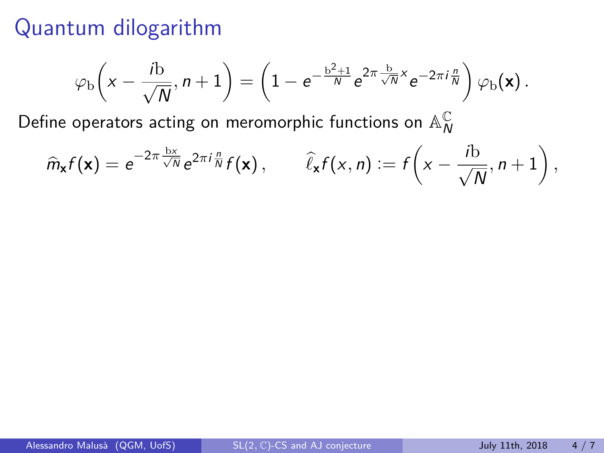$$
\varphi_{\rm b}\!\left(x-\frac{i{\rm b}}{\sqrt{N}},n+1\right)=\left(1-{\rm e}^{-\frac{{\rm b}^2+1}{N}}{\rm e}^{2\pi\frac{{\rm b}}{\sqrt{N}}x}{\rm e}^{-2\pi i\frac{n}{N}}\right)\varphi_{\rm b}(\textbf{x})\,.
$$

Define operators acting on meromorphic functions on  $\mathbb{A}_\mathsf{N}^\mathbb{C}$ N

$$
\widehat{m}_{\mathbf{x}}f(\mathbf{x}) = e^{-2\pi \frac{\mathbf{b}\mathbf{x}}{\sqrt{N}}} e^{2\pi i \frac{n}{N}}f(\mathbf{x}), \qquad \widehat{\ell}_{\mathbf{x}}f(x,n) := f\left(x - \frac{i\mathbf{b}}{\sqrt{N}}, n+1\right),
$$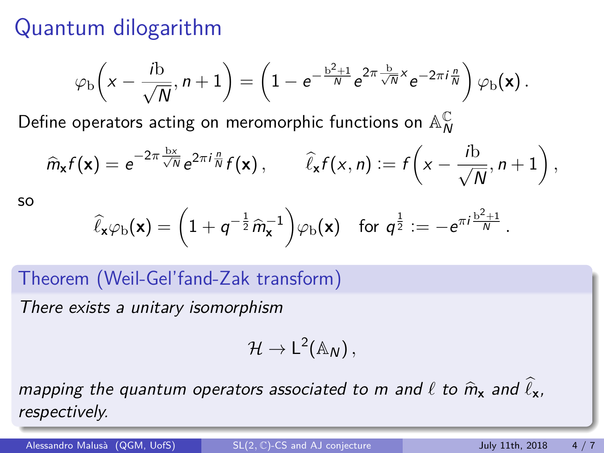$$
\varphi_{\rm b}\!\left(x-\frac{i{\rm b}}{\sqrt{N}},n+1\right)=\left(1-{\rm e}^{-\frac{{\rm b}^2+1}{N}}{\rm e}^{2\pi\frac{{\rm b}}{\sqrt{N}}x}{\rm e}^{-2\pi i\frac{n}{N}}\right)\varphi_{\rm b}(\textbf{x})\,.
$$

Define operators acting on meromorphic functions on  $\mathbb{A}_\mathsf{N}^\mathbb{C}$ N

$$
\widehat{m}_{\mathbf{x}}f(\mathbf{x}) = e^{-2\pi \frac{\mathbf{b}\mathbf{x}}{\sqrt{N}}}e^{2\pi i \frac{n}{N}}f(\mathbf{x}), \qquad \widehat{\ell}_{\mathbf{x}}f(x,n) := f\left(x - \frac{i\mathbf{b}}{\sqrt{N}}, n+1\right),
$$

so

$$
\widehat{\ell}_{\mathbf{x}}\varphi_{\mathrm{b}}(\mathbf{x}) = \left(1 + q^{-\frac{1}{2}}\widehat{m}_{\mathbf{x}}^{-1}\right)\varphi_{\mathrm{b}}(\mathbf{x}) \quad \text{for } q^{\frac{1}{2}} := -e^{\pi i \frac{\mathrm{b}^2+1}{N}}.
$$

Theorem (Weil-Gel'fand-Zak transform)

There exists a unitary isomorphism

$$
\mathcal{H}\to L^2(\mathbb{A}_N)\,,
$$

mapping the quantum operators associated to m and  $\ell$  to  $\hat{m}_x$  and  $\hat{\ell}_x$ , respectively.

Alessandro Malusà (QGM, UofS) SL(2, C)-CS and AJ conjecture July 11th, 2018 4/7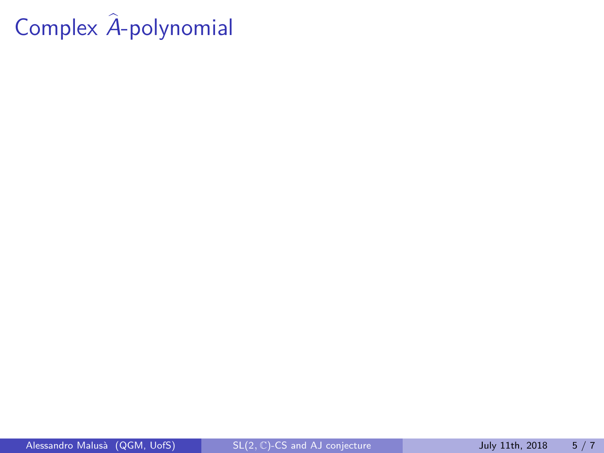# Complex  $\hat{A}$ -polynomial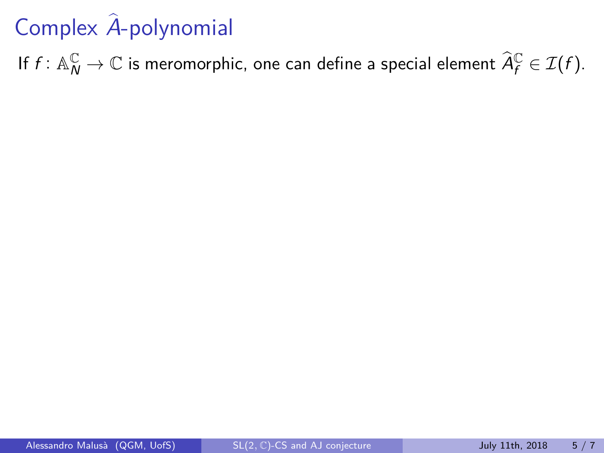# Complex  $\hat{A}$ -polynomial

If  $f\colon \mathbb{A}_N^\mathbb{C}\to \mathbb{C}$  is meromorphic, one can define a special element  $\widehat A_f^\mathbb{C}\in \mathcal{I}(f).$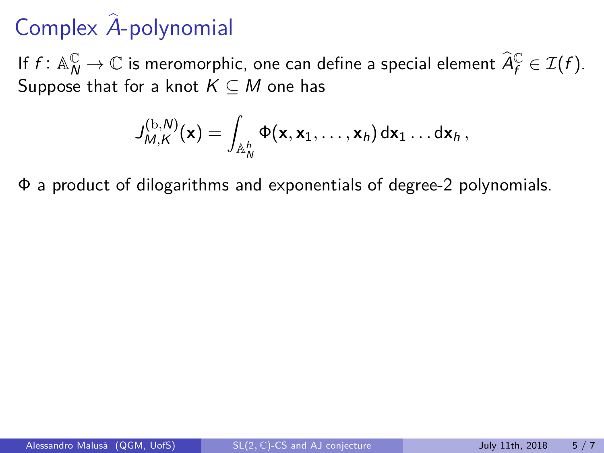# Complex  $\hat{A}$ -polynomial

If  $f: \mathbb{A}_{N}^{\mathbb{C}} \to \mathbb{C}$  is meromorphic, one can define a special element  $\widehat{A}_{f}^{\mathbb{C}} \in \mathcal{I}(f)$ . Suppose that for a knot  $K \subseteq M$  one has

$$
J_{M,K}^{(\mathrm{b},N)}(\mathbf{x})=\int_{\mathbb{A}_N^h}\Phi(\mathbf{x},\mathbf{x}_1,\ldots,\mathbf{x}_h)\,\mathrm{d}\mathbf{x}_1\ldots\mathrm{d}\mathbf{x}_h\,,
$$

Φ a product of dilogarithms and exponentials of degree-2 polynomials.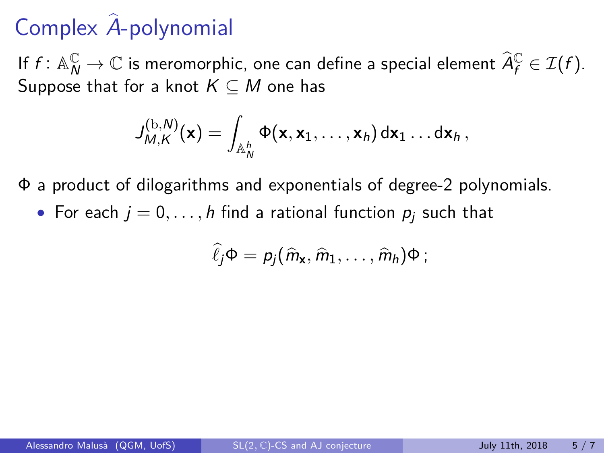If  $f: \mathbb{A}_{N}^{\mathbb{C}} \to \mathbb{C}$  is meromorphic, one can define a special element  $\widehat{A}_{f}^{\mathbb{C}} \in \mathcal{I}(f)$ . Suppose that for a knot  $K \subseteq M$  one has

$$
J_{M,K}^{(\mathrm{b},N)}(\mathsf{x})=\int_{\mathbb{A}_N^h}\Phi(\mathsf{x},\mathsf{x}_1,\ldots,\mathsf{x}_h)\,\mathrm{d}\mathsf{x}_1\ldots\mathrm{d}\mathsf{x}_h\,,
$$

Φ a product of dilogarithms and exponentials of degree-2 polynomials.

• For each  $j = 0, \ldots, h$  find a rational function  $p_i$  such that

$$
\widehat{\ell}_j\Phi=p_j(\widehat{m}_{\mathbf{x}},\widehat{m}_1,\ldots,\widehat{m}_h)\Phi\,;
$$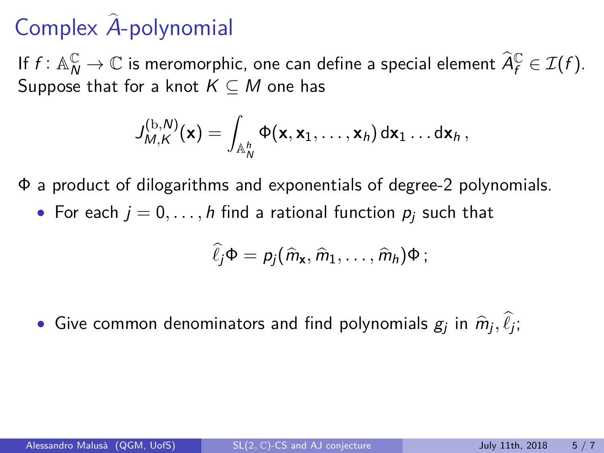If  $f: \mathbb{A}_{N}^{\mathbb{C}} \to \mathbb{C}$  is meromorphic, one can define a special element  $\widehat{A}_{f}^{\mathbb{C}} \in \mathcal{I}(f)$ . Suppose that for a knot  $K \subseteq M$  one has

$$
J_{M,K}^{(\mathrm{b},N)}(\mathsf{x})=\int_{\mathbb{A}_N^h}\Phi(\mathsf{x},\mathsf{x}_1,\ldots,\mathsf{x}_h)\,\mathrm{d}\mathsf{x}_1\ldots\mathrm{d}\mathsf{x}_h\,,
$$

Φ a product of dilogarithms and exponentials of degree-2 polynomials.

• For each  $j = 0, \ldots, h$  find a rational function  $p_i$  such that

$$
\widehat{\ell}_j\Phi=p_j(\widehat{m}_{\mathbf{x}},\widehat{m}_1,\ldots,\widehat{m}_h)\Phi\,;
$$

• Give common denominators and find polynomials  $g_j$  in  $\widehat{m}_j, \ell_j;$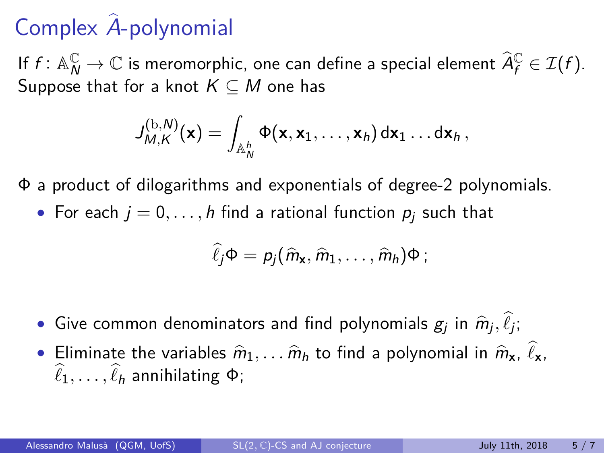If  $f: \mathbb{A}_{N}^{\mathbb{C}} \to \mathbb{C}$  is meromorphic, one can define a special element  $\widehat{A}_{f}^{\mathbb{C}} \in \mathcal{I}(f)$ . Suppose that for a knot  $K \subseteq M$  one has

$$
J_{M,K}^{(\mathrm{b},N)}(\mathsf{x})=\int_{\mathbb{A}_N^h}\Phi(\mathsf{x},\mathsf{x}_1,\ldots,\mathsf{x}_h)\,\mathrm{d}\mathsf{x}_1\ldots\mathrm{d}\mathsf{x}_h\,,
$$

Φ a product of dilogarithms and exponentials of degree-2 polynomials.

• For each  $j = 0, \ldots, h$  find a rational function  $p_i$  such that

$$
\widehat{\ell}_j\Phi=p_j(\widehat{m}_{\mathbf{x}},\widehat{m}_1,\ldots,\widehat{m}_h)\Phi\,;
$$

- Give common denominators and find polynomials  $g_j$  in  $\widehat{m}_j, \ell_j;$
- Eliminate the variables  $\hat{m}_1, \ldots, \hat{m}_h$  to find a polynomial in  $\hat{m}_x, \ell_x, \ldots, \hat{\ell}_h$  $\ell_1, \ldots, \ell_h$  annihilating  $\Phi$ ;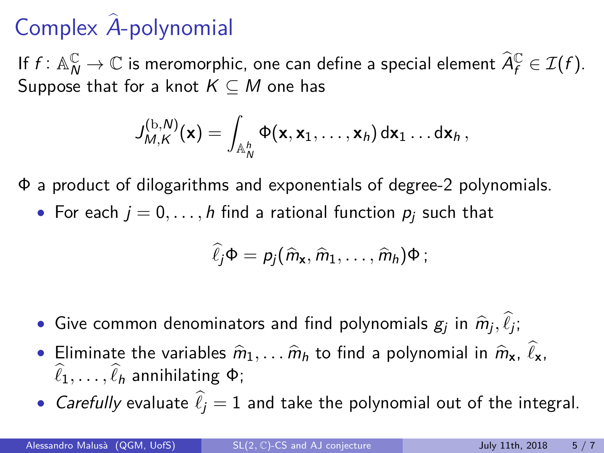If  $f: \mathbb{A}_{N}^{\mathbb{C}} \to \mathbb{C}$  is meromorphic, one can define a special element  $\widehat{A}_{f}^{\mathbb{C}} \in \mathcal{I}(f)$ . Suppose that for a knot  $K \subseteq M$  one has

$$
J_{M,K}^{(\mathrm{b},N)}(\mathsf{x})=\int_{\mathbb{A}_N^h}\Phi(\mathsf{x},\mathsf{x}_1,\ldots,\mathsf{x}_h)\,\mathrm{d}\mathsf{x}_1\ldots\mathrm{d}\mathsf{x}_h\,,
$$

Φ a product of dilogarithms and exponentials of degree-2 polynomials.

• For each  $j = 0, \ldots, h$  find a rational function  $p_i$  such that

$$
\widehat{\ell}_j\Phi=p_j(\widehat{m}_{\mathbf{x}},\widehat{m}_1,\ldots,\widehat{m}_h)\Phi\,;
$$

- Give common denominators and find polynomials  $g_j$  in  $\widehat{m}_j, \ell_j;$
- Eliminate the variables  $\hat{m}_1, \ldots, \hat{m}_h$  to find a polynomial in  $\hat{m}_x, \ell_x, \ldots, \hat{\ell}_h$  $\ell_1, \ldots, \ell_h$  annihilating  $\Phi$ ;
- *Carefully* evaluate  $\hat{\ell}_i = 1$  and take the polynomial out of the integral.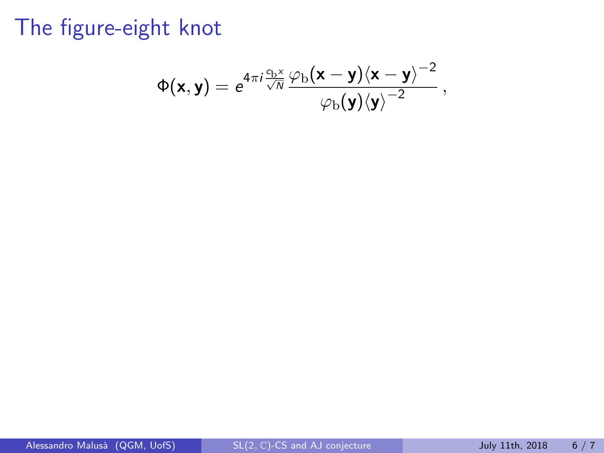$$
\Phi(\mathbf{x},\mathbf{y}) = e^{4\pi i \frac{c_{\rm b}x}{\sqrt{N}}}\frac{\varphi_{\rm b}(\mathbf{x}-\mathbf{y})\langle \mathbf{x}-\mathbf{y}\rangle^{-2}}{\varphi_{\rm b}(\mathbf{y})\langle \mathbf{y}\rangle^{-2}}\,,
$$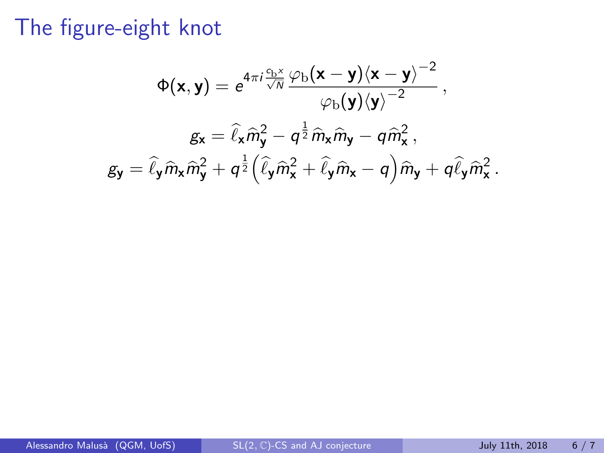$$
\Phi(\mathbf{x}, \mathbf{y}) = e^{4\pi i \frac{c_{\rm b}x}{\sqrt{N}} \frac{\varphi_{\rm b}(\mathbf{x} - \mathbf{y}) \langle \mathbf{x} - \mathbf{y} \rangle^{-2}}{\varphi_{\rm b}(\mathbf{y}) \langle \mathbf{y} \rangle^{-2}},
$$

$$
g_{\mathbf{x}} = \hat{\ell}_{\mathbf{x}} \hat{m}_{\mathbf{y}}^2 - q^{\frac{1}{2}} \hat{m}_{\mathbf{x}} \hat{m}_{\mathbf{y}} - q \hat{m}_{\mathbf{x}}^2,
$$

$$
g_{\mathbf{y}} = \hat{\ell}_{\mathbf{y}} \hat{m}_{\mathbf{x}} \hat{m}_{\mathbf{y}}^2 + q^{\frac{1}{2}} (\hat{\ell}_{\mathbf{y}} \hat{m}_{\mathbf{x}}^2 + \hat{\ell}_{\mathbf{y}} \hat{m}_{\mathbf{x}} - q) \hat{m}_{\mathbf{y}} + q \hat{\ell}_{\mathbf{y}} \hat{m}_{\mathbf{x}}^2.
$$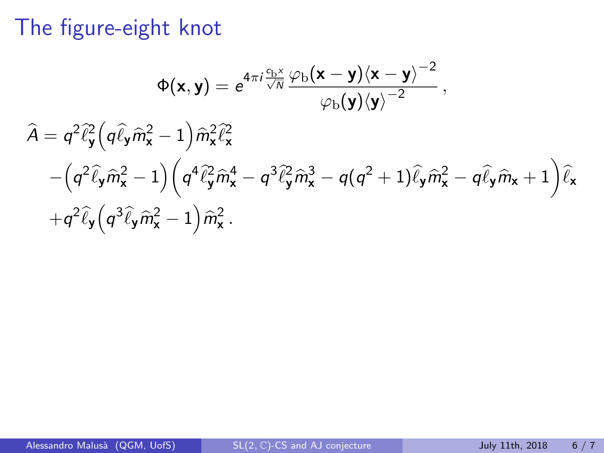$$
\Phi(\mathbf{x}, \mathbf{y}) = e^{4\pi i \frac{c_{\mathbf{b}}x}{\sqrt{N}}} \frac{\varphi_{\mathbf{b}}(\mathbf{x} - \mathbf{y}) \langle \mathbf{x} - \mathbf{y} \rangle^{-2}}{\varphi_{\mathbf{b}}(\mathbf{y}) \langle \mathbf{y} \rangle^{-2}},
$$
  

$$
\hat{A} = q^2 \hat{\ell}_{\mathbf{y}}^2 \left( q \hat{\ell}_{\mathbf{y}} \hat{m}_{\mathbf{x}}^2 - 1 \right) \hat{m}_{\mathbf{x}}^2 \hat{\ell}_{\mathbf{x}}^2
$$

$$
- \left( q^2 \hat{\ell}_{\mathbf{y}} \hat{m}_{\mathbf{x}}^2 - 1 \right) \left( q^4 \hat{\ell}_{\mathbf{y}}^2 \hat{m}_{\mathbf{x}}^4 - q^3 \hat{\ell}_{\mathbf{y}}^2 \hat{m}_{\mathbf{x}}^3 - q(q^2 + 1) \hat{\ell}_{\mathbf{y}} \hat{m}_{\mathbf{x}}^2 - q \hat{\ell}_{\mathbf{y}} \hat{m}_{\mathbf{x}} + 1 \right) \hat{\ell}_{\mathbf{x}}
$$

$$
+ q^2 \hat{\ell}_{\mathbf{y}} \left( q^3 \hat{\ell}_{\mathbf{y}} \hat{m}_{\mathbf{x}}^2 - 1 \right) \hat{m}_{\mathbf{x}}^2.
$$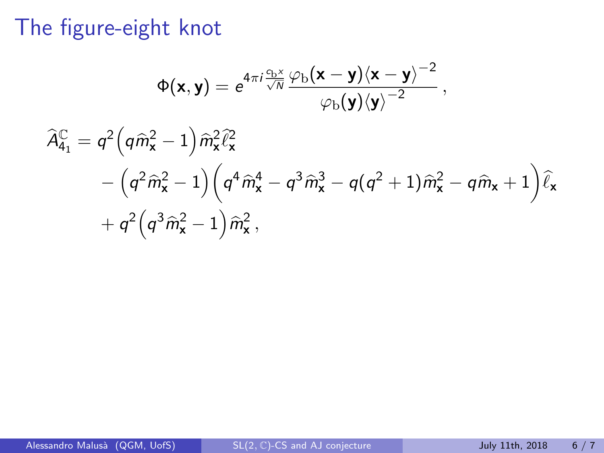$$
\Phi(\mathbf{x}, \mathbf{y}) = e^{4\pi i \frac{c_{b}x}{\sqrt{N}} \frac{\varphi_{b}(\mathbf{x} - \mathbf{y}) \langle \mathbf{x} - \mathbf{y} \rangle^{-2}}{\varphi_{b}(\mathbf{y}) \langle \mathbf{y} \rangle^{-2}},
$$
  

$$
\widehat{A}_{41}^{C} = q^{2} (q \widehat{m}_{\mathbf{x}}^{2} - 1) \widehat{m}_{\mathbf{x}}^{2} \widehat{\ell}_{\mathbf{x}}^{2}
$$

$$
- (q^{2} \widehat{m}_{\mathbf{x}}^{2} - 1) (q^{4} \widehat{m}_{\mathbf{x}}^{4} - q^{3} \widehat{m}_{\mathbf{x}}^{3} - q(q^{2} + 1) \widehat{m}_{\mathbf{x}}^{2} - q \widehat{m}_{\mathbf{x}} + 1) \widehat{\ell}_{\mathbf{x}} + q^{2} (q^{3} \widehat{m}_{\mathbf{x}}^{2} - 1) \widehat{m}_{\mathbf{x}}^{2},
$$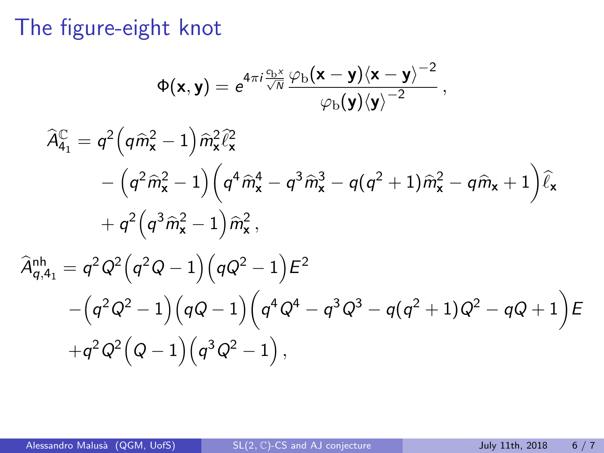$$
\Phi(\mathbf{x}, \mathbf{y}) = e^{4\pi i \frac{c_{b}x}{\sqrt{N}} \frac{\varphi_{b}(\mathbf{x} - \mathbf{y})(\mathbf{x} - \mathbf{y})^{-2}}{\varphi_{b}(\mathbf{y})(\mathbf{y})^{-2}}},
$$
\n
$$
\widehat{A}_{4_{1}}^{C} = q^{2} (q \widehat{m}_{\mathbf{x}}^{2} - 1) \widehat{m}_{\mathbf{x}}^{2} \widehat{\ell}_{\mathbf{x}}^{2}
$$
\n
$$
- (q^{2} \widehat{m}_{\mathbf{x}}^{2} - 1) (q^{4} \widehat{m}_{\mathbf{x}}^{4} - q^{3} \widehat{m}_{\mathbf{x}}^{3} - q(q^{2} + 1) \widehat{m}_{\mathbf{x}}^{2} - q \widehat{m}_{\mathbf{x}} + 1) \widehat{\ell}_{\mathbf{x}} + q^{2} (q^{3} \widehat{m}_{\mathbf{x}}^{2} - 1) \widehat{m}_{\mathbf{x}}^{2},
$$
\n
$$
\widehat{A}_{q,4_{1}}^{nh} = q^{2} Q^{2} (q^{2} Q - 1) (q Q^{2} - 1) \widehat{E}^{2}
$$
\n
$$
- (q^{2} Q^{2} - 1) (q Q - 1) (q^{4} Q^{4} - q^{3} Q^{3} - q(q^{2} + 1) Q^{2} - q Q + 1) \widehat{E}
$$
\n
$$
+ q^{2} Q^{2} (Q - 1) (q^{3} Q^{2} - 1),
$$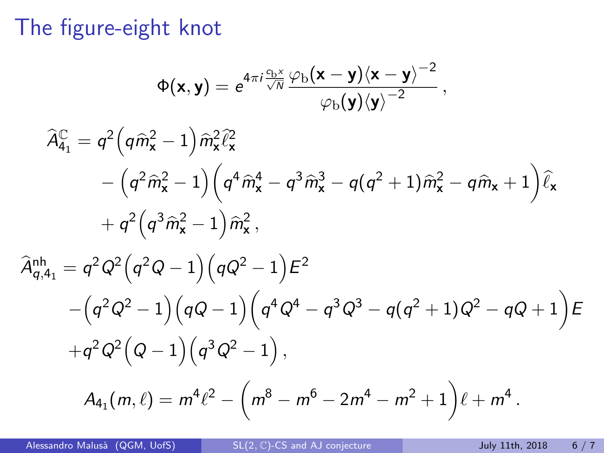$$
\Phi(\mathbf{x}, \mathbf{y}) = e^{4\pi i \frac{c_{b}x}{\sqrt{N}} \frac{\varphi_{b}(\mathbf{x} - \mathbf{y})(\mathbf{x} - \mathbf{y})^{-2}}{\varphi_{b}(\mathbf{y})(\mathbf{y})^{-2}},
$$
\n
$$
\hat{A}_{4_{1}}^{C} = q^{2}(q\hat{m}_{\mathbf{x}}^{2} - 1)\hat{m}_{\mathbf{x}}^{2}\hat{\ell}_{\mathbf{x}}^{2}
$$
\n
$$
- (q^{2}\hat{m}_{\mathbf{x}}^{2} - 1)(q^{4}\hat{m}_{\mathbf{x}}^{4} - q^{3}\hat{m}_{\mathbf{x}}^{3} - q(q^{2} + 1)\hat{m}_{\mathbf{x}}^{2} - q\hat{m}_{\mathbf{x}} + 1)\hat{\ell}_{\mathbf{x}}
$$
\n
$$
+ q^{2}(q^{3}\hat{m}_{\mathbf{x}}^{2} - 1)\hat{m}_{\mathbf{x}}^{2},
$$
\n
$$
\hat{A}_{q,4_{1}}^{nh} = q^{2}Q^{2}(q^{2}Q - 1)(qQ^{2} - 1)E^{2}
$$
\n
$$
- (q^{2}Q^{2} - 1)(qQ - 1)(q^{4}Q^{4} - q^{3}Q^{3} - q(q^{2} + 1)Q^{2} - qQ + 1)E
$$
\n
$$
+ q^{2}Q^{2}(Q - 1)(q^{3}Q^{2} - 1),
$$
\n
$$
A_{4_{1}}(m,\ell) = m^{4}\ell^{2} - (m^{8} - m^{6} - 2m^{4} - m^{2} + 1)\ell + m^{4}.
$$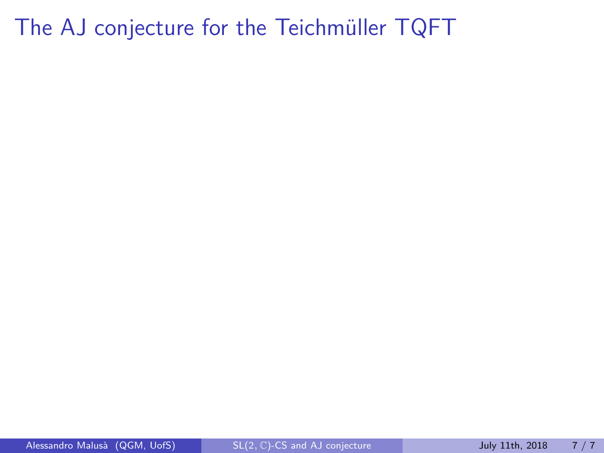The AJ conjecture for the Teichmüller TQFT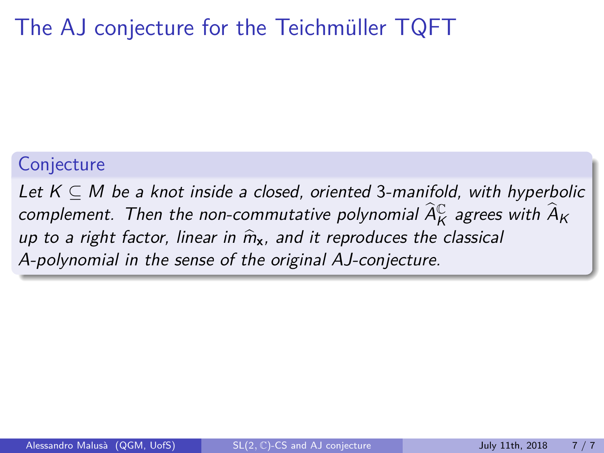### The AJ conjecture for the Teichmüller TQFT

#### **Conjecture**

Let  $K \subseteq M$  be a knot inside a closed, oriented 3-manifold, with hyperbolic complement. Then the non-commutative polynomial  $\widehat{A}_K^{\mathbb{C}}$  agrees with  $\widehat{A}_K$ up to a right factor, linear in  $\hat{m}_{x}$ , and it reproduces the classical A-polynomial in the sense of the original AJ-conjecture.